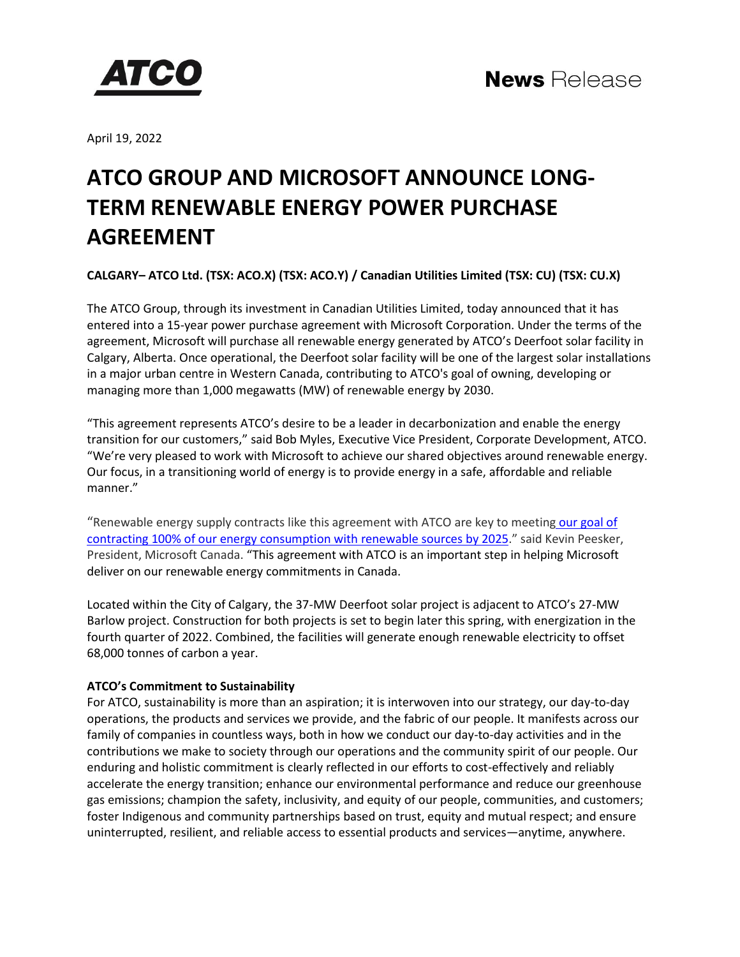

April 19, 2022

# **ATCO GROUP AND MICROSOFT ANNOUNCE LONG-TERM RENEWABLE ENERGY POWER PURCHASE AGREEMENT**

**CALGARY– ATCO Ltd. (TSX: ACO.X) (TSX: ACO.Y) / Canadian Utilities Limited (TSX: CU) (TSX: CU.X)**

The ATCO Group, through its investment in Canadian Utilities Limited, today announced that it has entered into a 15-year power purchase agreement with Microsoft Corporation. Under the terms of the agreement, Microsoft will purchase all renewable energy generated by ATCO's Deerfoot solar facility in Calgary, Alberta. Once operational, the Deerfoot solar facility will be one of the largest solar installations in a major urban centre in Western Canada, contributing to ATCO's goal of owning, developing or managing more than 1,000 megawatts (MW) of renewable energy by 2030.

"This agreement represents ATCO's desire to be a leader in decarbonization and enable the energy transition for our customers," said Bob Myles, Executive Vice President, Corporate Development, ATCO. "We're very pleased to work with Microsoft to achieve our shared objectives around renewable energy. Our focus, in a transitioning world of energy is to provide energy in a safe, affordable and reliable manner."

"Renewable energy supply contracts like this agreement with ATCO are key to meeting [our goal of](https://blogs.microsoft.com/blog/2020/01/16/microsoft-will-be-carbon-negative-by-2030/)  contracting 100% [of our energy consumption with](https://blogs.microsoft.com/blog/2020/01/16/microsoft-will-be-carbon-negative-by-2030/) renewable sources by 2025." said Kevin Peesker, President, Microsoft Canada. "This agreement with ATCO is an important step in helping Microsoft deliver on our renewable energy commitments in Canada.

Located within the City of Calgary, the 37-MW Deerfoot solar project is adjacent to ATCO's 27-MW Barlow project. Construction for both projects is set to begin later this spring, with energization in the fourth quarter of 2022. Combined, the facilities will generate enough renewable electricity to offset 68,000 tonnes of carbon a year.

## **ATCO's Commitment to Sustainability**

For ATCO, sustainability is more than an aspiration; it is interwoven into our strategy, our day-to-day operations, the products and services we provide, and the fabric of our people. It manifests across our family of companies in countless ways, both in how we conduct our day-to-day activities and in the contributions we make to society through our operations and the community spirit of our people. Our enduring and holistic commitment is clearly reflected in our efforts to cost-effectively and reliably accelerate the energy transition; enhance our environmental performance and reduce our greenhouse gas emissions; champion the safety, inclusivity, and equity of our people, communities, and customers; foster Indigenous and community partnerships based on trust, equity and mutual respect; and ensure uninterrupted, resilient, and reliable access to essential products and services—anytime, anywhere.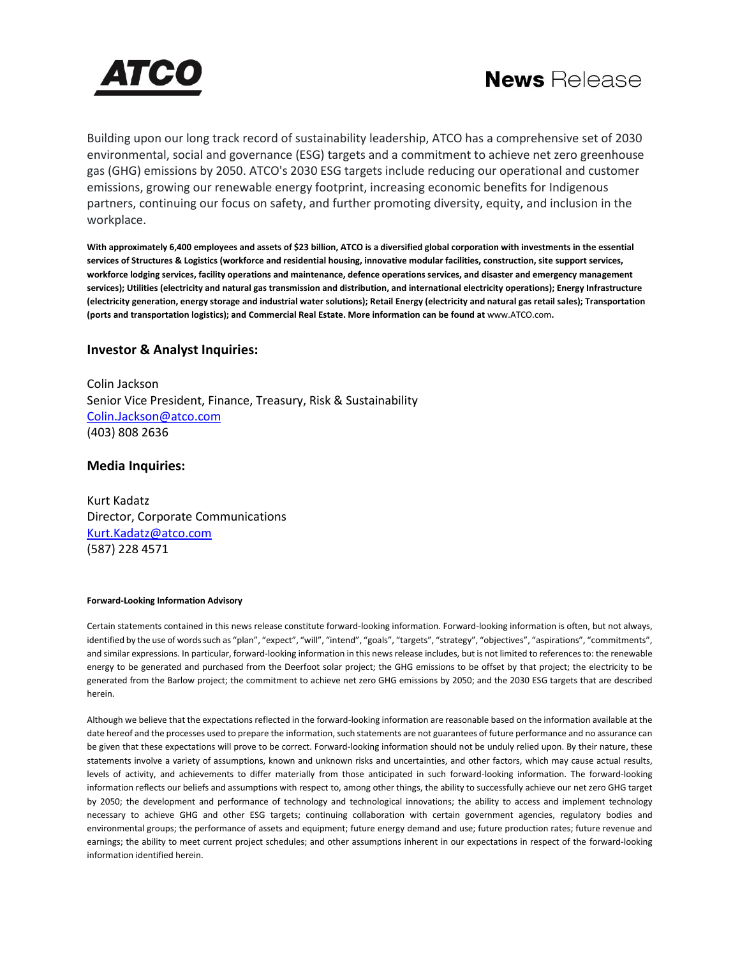



Building upon our long track record of sustainability leadership, ATCO has a comprehensive set of 2030 environmental, social and governance (ESG) targets and a commitment to achieve net zero greenhouse gas (GHG) emissions by 2050. ATCO's 2030 ESG targets include reducing our operational and customer emissions, growing our renewable energy footprint, increasing economic benefits for Indigenous partners, continuing our focus on safety, and further promoting diversity, equity, and inclusion in the workplace.

**With approximately 6,400 employees and assets of \$23 billion, ATCO is a diversified global corporation with investments in the essential services of Structures & Logistics (workforce and residential housing, innovative modular facilities, construction, site support services, workforce lodging services, facility operations and maintenance, defence operations services, and disaster and emergency management services); Utilities (electricity and natural gas transmission and distribution, and international electricity operations); Energy Infrastructure (electricity generation, energy storage and industrial water solutions); Retail Energy (electricity and natural gas retail sales); Transportation (ports and transportation logistics); and Commercial Real Estate. More information can be found at** [www.ATCO.com](https://c212.net/c/link/?t=0&l=en&o=3463354-1&h=1206606898&u=http%3A%2F%2Fwww.atco.com%2F&a=www.ATCO.com)**.**

### **Investor & Analyst Inquiries:**

Colin Jackson Senior Vice President, Finance, Treasury, Risk & Sustainability [Colin.Jackson@atco.com](mailto:Colin.Jackson@atco.com) (403) 808 2636

### **Media Inquiries:**

Kurt Kadatz Director, Corporate Communications [Kurt.Kadatz@atco.com](mailto:Kurt.Kadatz@atco.com) (587) 228 4571

#### **Forward-Looking Information Advisory**

Certain statements contained in this news release constitute forward-looking information. Forward-looking information is often, but not always, identified by the use of words such as "plan", "expect", "will", "intend", "goals", "targets", "strategy", "objectives", "aspirations", "commitments", and similar expressions. In particular, forward-looking information in this news release includes, but is not limited to references to: the renewable energy to be generated and purchased from the Deerfoot solar project; the GHG emissions to be offset by that project; the electricity to be generated from the Barlow project; the commitment to achieve net zero GHG emissions by 2050; and the 2030 ESG targets that are described herein.

Although we believe that the expectations reflected in the forward-looking information are reasonable based on the information available at the date hereof and the processes used to prepare the information, such statements are not guarantees of future performance and no assurance can be given that these expectations will prove to be correct. Forward-looking information should not be unduly relied upon. By their nature, these statements involve a variety of assumptions, known and unknown risks and uncertainties, and other factors, which may cause actual results, levels of activity, and achievements to differ materially from those anticipated in such forward-looking information. The forward-looking information reflects our beliefs and assumptions with respect to, among other things, the ability to successfully achieve our net zero GHG target by 2050; the development and performance of technology and technological innovations; the ability to access and implement technology necessary to achieve GHG and other ESG targets; continuing collaboration with certain government agencies, regulatory bodies and environmental groups; the performance of assets and equipment; future energy demand and use; future production rates; future revenue and earnings; the ability to meet current project schedules; and other assumptions inherent in our expectations in respect of the forward-looking information identified herein.